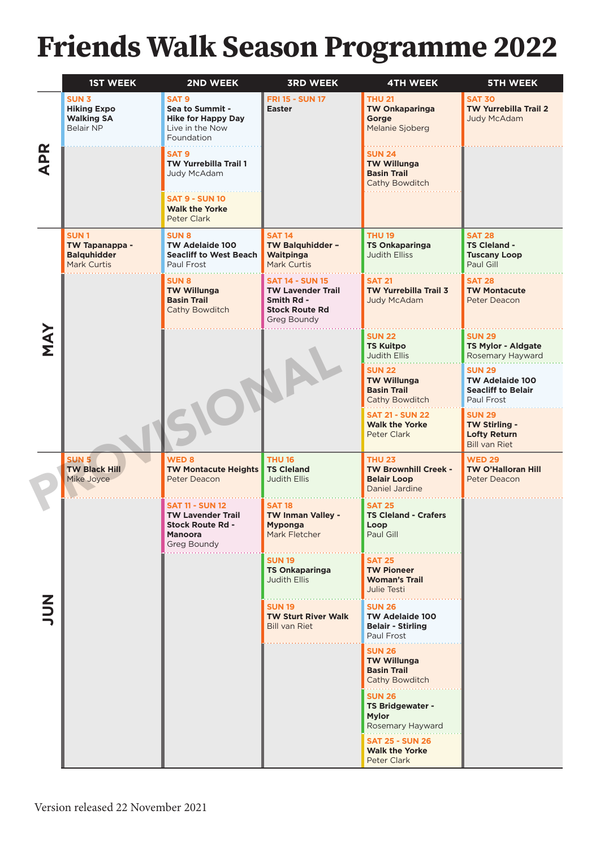# **Friends Walk Season Programme 2022**

|            | <b>1ST WEEK</b>                                                             | 2ND WEEK                                                                                                       | <b>3RD WEEK</b>                                                                                          | <b>4TH WEEK</b>                                                                      | <b>5TH WEEK</b>                                                                    |
|------------|-----------------------------------------------------------------------------|----------------------------------------------------------------------------------------------------------------|----------------------------------------------------------------------------------------------------------|--------------------------------------------------------------------------------------|------------------------------------------------------------------------------------|
|            | <b>SUN 3</b><br><b>Hiking Expo</b><br><b>Walking SA</b><br><b>Belair NP</b> | SAT <sub>9</sub><br>Sea to Summit -<br><b>Hike for Happy Day</b><br>Live in the Now<br>Foundation              | <b>FRI 15 - SUN 17</b><br><b>Easter</b>                                                                  | <b>THU 21</b><br><b>TW Onkaparinga</b><br>Gorge<br>Melanie Sjoberg                   | <b>SAT 30</b><br><b>TW Yurrebilla Trail 2</b><br><b>Judy McAdam</b>                |
| <b>APR</b> |                                                                             | SAT <sub>9</sub><br><b>TW Yurrebilla Trail 1</b><br>Judy McAdam                                                |                                                                                                          | <b>SUN 24</b><br><b>TW Willunga</b><br><b>Basin Trail</b><br>Cathy Bowditch          |                                                                                    |
|            |                                                                             | <b>SAT 9 - SUN 10</b><br><b>Walk the Yorke</b><br>Peter Clark                                                  |                                                                                                          |                                                                                      |                                                                                    |
|            | <b>SUN1</b><br>TW Tapanappa -<br><b>Balquhidder</b><br><b>Mark Curtis</b>   | <b>SUN8</b><br>TW Adelaide 100<br><b>Seacliff to West Beach</b><br>Paul Frost                                  | <b>SAT 14</b><br><b>TW Balquhidder -</b><br>Waitpinga<br><b>Mark Curtis</b>                              | <b>THU 19</b><br><b>TS Onkaparinga</b><br><b>Judith Elliss</b>                       | <b>SAT 28</b><br><b>TS Cleland -</b><br><b>Tuscany Loop</b><br>Paul Gill           |
|            |                                                                             | <b>SUN 8</b><br><b>TW Willunga</b><br><b>Basin Trail</b><br>Cathy Bowditch                                     | <b>SAT 14 - SUN 15</b><br><b>TW Lavender Trail</b><br>Smith Rd -<br><b>Stock Route Rd</b><br>Greg Boundy | <b>SAT 21</b><br><b>TW Yurrebilla Trail 3</b><br><b>Judy McAdam</b>                  | <b>SAT 28</b><br><b>TW Montacute</b><br>Peter Deacon                               |
| <b>NAY</b> |                                                                             |                                                                                                                |                                                                                                          | <b>SUN 22</b><br><b>TS Kuitpo</b><br><b>Judith Ellis</b>                             | <b>SUN 29</b><br><b>TS Mylor - Aldgate</b><br>Rosemary Hayward                     |
|            |                                                                             |                                                                                                                |                                                                                                          | <b>SUN 22</b><br><b>TW Willunga</b><br><b>Basin Trail</b><br>Cathy Bowditch          | <b>SUN 29</b><br><b>TW Adelaide 100</b><br><b>Seacliff to Belair</b><br>Paul Frost |
|            |                                                                             |                                                                                                                |                                                                                                          | <b>SAT 21 - SUN 22</b><br><b>Walk the Yorke</b><br>Peter Clark                       | <b>SUN 29</b><br>TW Stirling -<br><b>Lofty Return</b><br><b>Bill van Riet</b>      |
|            | <b>SUN 5</b><br><b>TW Black Hill</b><br>Mike Joyce                          | <b>WED8</b><br><b>TW Montacute Heights</b><br>Peter Deacon                                                     | <b>THU 16</b><br><b>TS Cleland</b><br><b>Judith Ellis</b>                                                | <b>THU 23</b><br><b>TW Brownhill Creek -</b><br><b>Belair Loop</b><br>Daniel Jardine | <b>WED 29</b><br><b>TW O'Halloran Hill</b><br>Peter Deacon                         |
|            |                                                                             | <b>SAT 11 - SUN 12</b><br><b>TW Lavender Trail</b><br><b>Stock Route Rd -</b><br><b>Manoora</b><br>Greg Boundy | <b>SAT 18</b><br>TW Inman Valley -<br>Myponga<br>Mark Fletcher                                           | <b>SAT 25</b><br><b>TS Cleland - Crafers</b><br>Loop<br>Paul Gill                    |                                                                                    |
|            |                                                                             |                                                                                                                | <b>SUN 19</b><br><b>TS Onkaparinga</b><br>Judith Ellis                                                   | <b>SAT 25</b><br><b>TW Pioneer</b><br><b>Woman's Trail</b><br>Julie Testi            |                                                                                    |
|            |                                                                             |                                                                                                                | <b>SUN 19</b><br><b>TW Sturt River Walk</b><br><b>Bill van Riet</b>                                      | <b>SUN 26</b><br>TW Adelaide 100<br><b>Belair - Stirling</b><br>Paul Frost           |                                                                                    |
|            |                                                                             |                                                                                                                |                                                                                                          | <b>SUN 26</b><br><b>TW Willunga</b><br><b>Basin Trail</b><br>Cathy Bowditch          |                                                                                    |
|            |                                                                             |                                                                                                                |                                                                                                          | <b>SUN 26</b><br>TS Bridgewater -<br><b>Mylor</b><br>Rosemary Hayward                |                                                                                    |
|            |                                                                             |                                                                                                                |                                                                                                          | <b>SAT 25 - SUN 26</b><br><b>Walk the Yorke</b><br>Peter Clark                       |                                                                                    |